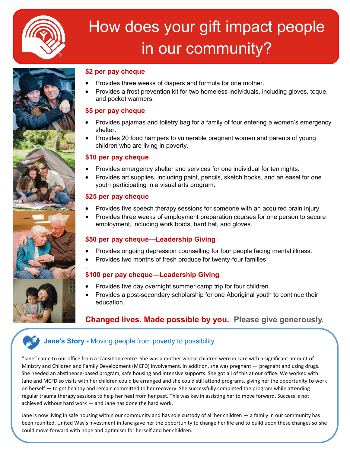

# How does your gift impact people in our community?



#### **\$2 per pay cheque**

- Provides three weeks of diapers and formula for one mother.
- Provides a frost prevention kit for two homeless individuals, including gloves, toque, and pocket warmers.

#### **\$5 per pay cheque**

- Provides pajamas and toiletry bag for a family of four entering a women's emergency shelter.
- Provides 20 food hampers to vulnerable pregnant women and parents of young children who are living in poverty.

#### **\$10 per pay cheque**

- Provides emergency shelter and services for one individual for ten nights.
- Provides art supplies, including paint, pencils, sketch books, and an easel for one youth participating in a visual arts program.

#### **\$25 per pay cheque**

.

- Provides five speech therapy sessions for someone with an acquired brain injury.
- Provides three weeks of employment preparation courses for one person to secure employment, including work boots, hard hat, and gloves.

#### **\$50 per pay cheque—Leadership Giving**

- Provides ongoing depression counselling for four people facing mental illness.
- Provides two months of fresh produce for twenty-four families

#### **\$100 per pay cheque—Leadership Giving**

- Provides five day overnight summer camp trip for four children.
- Provides a post-secondary scholarship for one Aboriginal youth to continue their education.

#### **Changed lives. Made possible by you. Please give generously.**

#### **Jane's Story -** Moving people from poverty to possibility

"Jane" came to our office from a transition centre. She was a mother whose children were in care with a significant amount of Ministry and Children and Family Development (MCFD) involvement. In addition, she was pregnant — pregnant and using drugs. She needed an abstinence-based program, safe housing and intensive supports. She got all of this at our office. We worked with Jane and MCFD so visits with her children could be arranged and she could still attend programs, giving her the opportunity to work on herself — to get healthy and remain committed to her recovery. She successfully completed the program while attending regular trauma therapy sessions to help her heal from her past. This was key in assisting her to move forward. Success is not achieved without hard work — and Jane has done the hard work.

Jane is now living in safe housing within our community and has sole custody of all her children — a family in our community has been reunited. United Way's investment in Jane gave her the opportunity to change her life and to build upon these changes so she could move forward with hope and optimism for herself and her children.